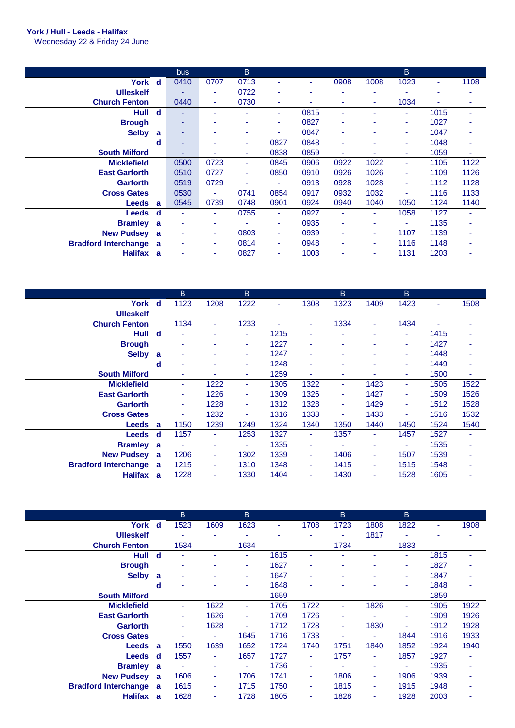## **York / Hull - Leeds - Halifax**

Wednesday 22 & Friday 24 June

|                             |              | bus  |      | B.   |                          |                          |      |      | B.   |      |      |
|-----------------------------|--------------|------|------|------|--------------------------|--------------------------|------|------|------|------|------|
| York                        | d            | 0410 | 0707 | 0713 |                          | $\overline{\phantom{0}}$ | 0908 | 1008 | 1023 | ٠    | 1108 |
| <b>Ulleskelf</b>            |              | ۰    | ٠    | 0722 |                          | ۰                        |      | ٠    |      | -    |      |
| <b>Church Fenton</b>        |              | 0440 | ٠    | 0730 | ٠                        | ۰                        | ٠    | ٠    | 1034 | ۰    | ٠    |
| Hull                        | d            | ۰    | ۰    |      | ٠                        | 0815                     | ۰    | ٠    | ۰    | 1015 |      |
| <b>Brough</b>               |              | ۰    |      |      | ۰                        | 0827                     | ٠    |      | ٠    | 1027 |      |
| <b>Selby</b>                | a            | ۰    | ٠    |      | $\overline{\phantom{a}}$ | 0847                     | ٠    | ٠    | ٠    | 1047 |      |
|                             | d            | ۰    | ۰    | ۰.   | 0827                     | 0848                     | ٠    | ٠    | ۰    | 1048 |      |
| <b>South Milford</b>        |              | ۰    | ٠    | ٠    | 0838                     | 0859                     | ۳    |      | ۰.   | 1059 | ۰    |
| <b>Micklefield</b>          |              | 0500 | 0723 | ٠    | 0845                     | 0906                     | 0922 | 1022 | ٠    | 1105 | 1122 |
| <b>East Garforth</b>        |              | 0510 | 0727 | ٠    | 0850                     | 0910                     | 0926 | 1026 | ٠    | 1109 | 1126 |
| <b>Garforth</b>             |              | 0519 | 0729 |      |                          | 0913                     | 0928 | 1028 | ۰    | 1112 | 1128 |
| <b>Cross Gates</b>          |              | 0530 | ٠    | 0741 | 0854                     | 0917                     | 0932 | 1032 |      | 1116 | 1133 |
| <b>Leeds</b>                | $\mathbf{a}$ | 0545 | 0739 | 0748 | 0901                     | 0924                     | 0940 | 1040 | 1050 | 1124 | 1140 |
| <b>Leeds</b>                | d            | ٠    | ٠    | 0755 | $\blacksquare$           | 0927                     | ٠    | ٠    | 1058 | 1127 |      |
| <b>Bramley</b>              | a            | ٠    | ۰    |      | $\overline{\phantom{a}}$ | 0935                     | ٠    | ٠    | ٠    | 1135 |      |
| <b>New Pudsey</b>           | a            | ٠    | ٠    | 0803 | ٠                        | 0939                     | ٠    | ٠    | 1107 | 1139 |      |
| <b>Bradford Interchange</b> | a            | ۰    | ۰    | 0814 | ٠                        | 0948                     | ۰    | ۰    | 1116 | 1148 | ۰    |
| <b>Halifax</b>              | a            | ۰    | ٠    | 0827 | $\overline{\phantom{a}}$ | 1003                     | ٠    | ٠    | 1131 | 1203 |      |

|                             |     | B              |      | B.             |      |      | B.   |      | B.                       |      |      |
|-----------------------------|-----|----------------|------|----------------|------|------|------|------|--------------------------|------|------|
| York                        | - d | 1123           | 1208 | 1222           | ٠    | 1308 | 1323 | 1409 | 1423                     | ٠    | 1508 |
| <b>Ulleskelf</b>            |     |                |      |                | ۰    | ۰    |      | ۰    | ٠                        |      |      |
| <b>Church Fenton</b>        |     | 1134           | ٠    | 1233           | ٠    | ۰    | 1334 | ٠    | 1434                     |      | ٠    |
| <b>Hull</b>                 | d   | ۰              |      |                | 1215 | ٠    |      |      | ٠                        | 1415 |      |
| <b>Brough</b>               |     | ۰              |      | ٠              | 1227 | ۰    |      |      | ٠                        | 1427 |      |
| <b>Selby</b>                | a   | ۰              |      | ۰              | 1247 | ٠    |      |      | ۰                        | 1448 |      |
|                             | d   | ٠              | ٠    |                | 1248 | ٠    | ٠    | ۰    | ۰                        | 1449 | ٠    |
| <b>South Milford</b>        |     |                |      |                | 1259 | ۰    | ٠    |      | ۰                        | 1500 | ٠    |
| <b>Micklefield</b>          |     | ٠              | 1222 | $\blacksquare$ | 1305 | 1322 | ٠    | 1423 | ٠                        | 1505 | 1522 |
| <b>East Garforth</b>        |     | ٠              | 1226 |                | 1309 | 1326 | ٠    | 1427 | $\overline{\phantom{a}}$ | 1509 | 1526 |
| <b>Garforth</b>             |     | $\blacksquare$ | 1228 | ٠              | 1312 | 1328 | ٠    | 1429 | ٠                        | 1512 | 1528 |
| <b>Cross Gates</b>          |     | ä,             | 1232 |                | 1316 | 1333 | ۰    | 1433 | $\overline{\phantom{a}}$ | 1516 | 1532 |
| <b>Leeds</b>                | a   | 1150           | 1239 | 1249           | 1324 | 1340 | 1350 | 1440 | 1450                     | 1524 | 1540 |
| <b>Leeds</b>                | d   | 1157           | ٠    | 1253           | 1327 | ٠    | 1357 | ٠    | 1457                     | 1527 |      |
| <b>Bramley</b>              | a   |                | ٠    |                | 1335 | ٠    |      | ۰    | ۰                        | 1535 |      |
| <b>New Pudsey</b>           | a   | 1206           | ٠    | 1302           | 1339 | ۰    | 1406 | ٠    | 1507                     | 1539 |      |
| <b>Bradford Interchange</b> | a   | 1215           | ٠    | 1310           | 1348 | ٠    | 1415 | ٠    | 1515                     | 1548 |      |
| <b>Halifax</b>              | a   | 1228           | ٠    | 1330           | 1404 | ٠    | 1430 | ٠    | 1528                     | 1605 |      |

|                             |             | B              |      | B.   |      |      | B      |                | $\mathsf B$              |      |      |
|-----------------------------|-------------|----------------|------|------|------|------|--------|----------------|--------------------------|------|------|
| York                        | $\mathbf d$ | 1523           | 1609 | 1623 | ٠    | 1708 | 1723   | 1808           | 1822                     | ۰    | 1908 |
| <b>Ulleskelf</b>            |             |                |      |      |      | ۰    |        | 1817           |                          |      |      |
| <b>Church Fenton</b>        |             | 1534           | ٠    | 1634 |      | ۰    | 1734   | $\blacksquare$ | 1833                     |      |      |
| Hull                        | d           | ۰              |      | ٠    | 1615 | ۰    |        | ٠              | $\overline{\phantom{a}}$ | 1815 |      |
| <b>Brough</b>               |             | ۰              |      | ۰    | 1627 | ٠    |        |                | ۰                        | 1827 |      |
| <b>Selby</b>                | a           | ۰              |      | ٠    | 1647 | ٠    | ۰      |                | ۰                        | 1847 |      |
|                             | d           | ۰              |      | ٠    | 1648 | ٠    | ۰      | ۰              | ۰                        | 1848 |      |
| <b>South Milford</b>        |             |                |      | ٠    | 1659 | ٠    | ۰      |                | ٠                        | 1859 | ۰    |
| <b>Micklefield</b>          |             | ٠              | 1622 | ٠    | 1705 | 1722 | ٠      | 1826           | ٠                        | 1905 | 1922 |
| <b>East Garforth</b>        |             | ٠              | 1626 | ٠    | 1709 | 1726 | ٠      |                | ٠                        | 1909 | 1926 |
| <b>Garforth</b>             |             | $\blacksquare$ | 1628 | ٠    | 1712 | 1728 | $\sim$ | 1830           | ٠                        | 1912 | 1928 |
| <b>Cross Gates</b>          |             |                | ٠    | 1645 | 1716 | 1733 | ٠      | ۰              | 1844                     | 1916 | 1933 |
| <b>Leeds</b>                | a           | 1550           | 1639 | 1652 | 1724 | 1740 | 1751   | 1840           | 1852                     | 1924 | 1940 |
| <b>Leeds</b>                | d           | 1557           | ٠    | 1657 | 1727 | ۰    | 1757   | ۰              | 1857                     | 1927 |      |
| <b>Bramley</b>              | a           | ٠              | ٠    |      | 1736 | ۰    |        | ۰              | ٠                        | 1935 |      |
| <b>New Pudsey</b>           | a           | 1606           | ٠    | 1706 | 1741 | ۰    | 1806   | ٠              | 1906                     | 1939 |      |
| <b>Bradford Interchange</b> | a           | 1615           | ٠    | 1715 | 1750 | ۰    | 1815   | ۰              | 1915                     | 1948 |      |
| <b>Halifax</b>              | a           | 1628           | ۰    | 1728 | 1805 | ۰    | 1828   | ٠              | 1928                     | 2003 |      |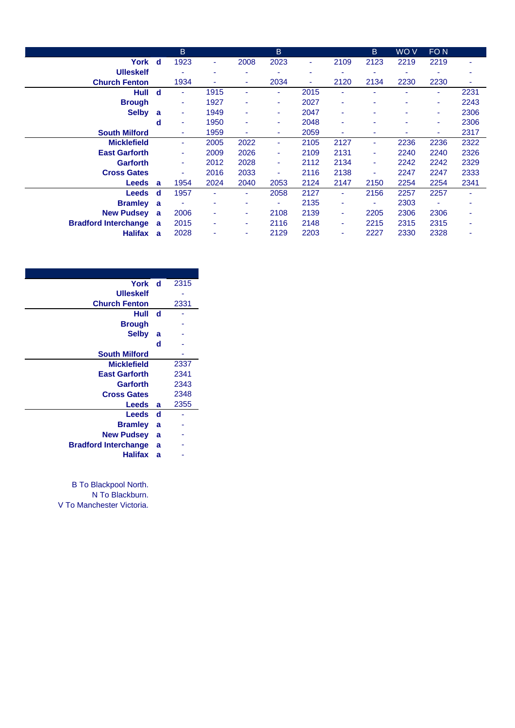|                             |             | <sub>B</sub> |      |      | B.                       |      |                | B.             | WO V | FO <sub>N</sub> |      |
|-----------------------------|-------------|--------------|------|------|--------------------------|------|----------------|----------------|------|-----------------|------|
| York                        | <b>d</b>    | 1923         | ٠    | 2008 | 2023                     | ۰    | 2109           | 2123           | 2219 | 2219            |      |
| <b>Ulleskelf</b>            |             |              | ٠    |      | $\overline{\phantom{a}}$ | ۰    |                | ٠              |      |                 |      |
| <b>Church Fenton</b>        |             | 1934         | ۰    | ۰    | 2034                     | ٠    | 2120           | 2134           | 2230 | 2230            | ۰    |
| Hull                        | $\mathbf d$ | ٠            | 1915 | ٠    | $\blacksquare$           | 2015 | ۰              | ٠              |      | ٠               | 2231 |
| <b>Brough</b>               |             | ٠            | 1927 |      | ٠                        | 2027 | ۰              | ٠              | ۰    | ٠               | 2243 |
| <b>Selby</b>                | a           | ٠            | 1949 | ۰    | ۰                        | 2047 | ۰              | ۰              | ۰    | ٠               | 2306 |
|                             | d           | ۰            | 1950 |      | ۰                        | 2048 | ٠              | ۰              |      | ۰               | 2306 |
| <b>South Milford</b>        |             | ۰            | 1959 |      | ۰                        | 2059 | ٠              | ۰              |      |                 | 2317 |
| <b>Micklefield</b>          |             | ٠            | 2005 | 2022 | ٠                        | 2105 | 2127           | ٠              | 2236 | 2236            | 2322 |
| <b>East Garforth</b>        |             | ۰            | 2009 | 2026 | ٠                        | 2109 | 2131           | ٠              | 2240 | 2240            | 2326 |
| <b>Garforth</b>             |             | ٠            | 2012 | 2028 | ٠                        | 2112 | 2134           | ۰              | 2242 | 2242            | 2329 |
| <b>Cross Gates</b>          |             |              | 2016 | 2033 |                          | 2116 | 2138           | $\blacksquare$ | 2247 | 2247            | 2333 |
| Leeds                       | a           | 1954         | 2024 | 2040 | 2053                     | 2124 | 2147           | 2150           | 2254 | 2254            | 2341 |
| <b>Leeds</b>                | d           | 1957         | ٠    | ۰.   | 2058                     | 2127 | $\blacksquare$ | 2156           | 2257 | 2257            |      |
| <b>Bramley</b>              | a           |              | ٠    |      | $\overline{\phantom{a}}$ | 2135 | ٠              | ٠              | 2303 |                 |      |
| <b>New Pudsey</b>           | a           | 2006         | ۰    |      | 2108                     | 2139 | $\blacksquare$ | 2205           | 2306 | 2306            |      |
| <b>Bradford Interchange</b> | a           | 2015         | ۰    |      | 2116                     | 2148 | ٠              | 2215           | 2315 | 2315            |      |
| <b>Halifax</b>              | a           | 2028         |      |      | 2129                     | 2203 | ٠              | 2227           | 2330 | 2328            |      |

| York d                      |    | 2315 |
|-----------------------------|----|------|
| <b>Ulleskelf</b>            |    |      |
| <b>Church Fenton</b>        |    | 2331 |
| Hull                        | -d |      |
| <b>Brough</b>               |    |      |
| <b>Selby</b>                | a  |      |
|                             | d  |      |
| <b>South Milford</b>        |    |      |
| <b>Micklefield</b>          |    | 2337 |
| <b>East Garforth</b>        |    | 2341 |
| Garforth                    |    | 2343 |
| <b>Cross Gates</b>          |    | 2348 |
| Leeds                       | a  | 2355 |
| <b>Leeds</b>                | d  |      |
| <b>Bramley</b>              | a  |      |
| <b>New Pudsey</b>           | a  |      |
| <b>Bradford Interchange</b> | a  |      |
| <b>Halifax</b>              | a  |      |
|                             |    |      |

B To Blackpool North. N To Blackburn. V To Manchester Victoria.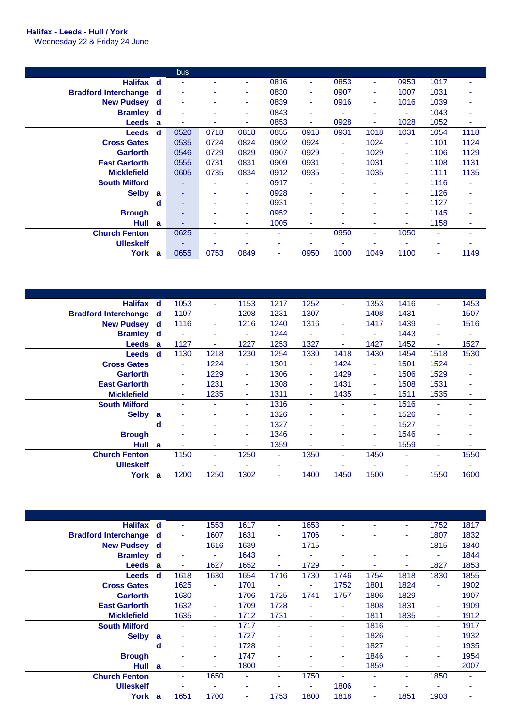## **Halifax - Leeds - Hull / York**

Wednesday 22 & Friday 24 June

|                             |             | <b>bus</b> |                |      |                          |      |                |                |      |      |                |
|-----------------------------|-------------|------------|----------------|------|--------------------------|------|----------------|----------------|------|------|----------------|
| <b>Halifax</b>              | $\mathbf d$ |            |                |      | 0816                     | ۰    | 0853           | ٠              | 0953 | 1017 |                |
| <b>Bradford Interchange</b> | d           | ٠          | ٠              | ۰    | 0830                     | ٠    | 0907           | ۰              | 1007 | 1031 |                |
| <b>New Pudsey</b>           | d           | ٠          | ٠              | ۰    | 0839                     | ۰    | 0916           | ۰              | 1016 | 1039 |                |
| <b>Bramley</b>              | d           | ٠          | ٠              | ۰    | 0843                     | ۰    | ۰              | ٠              | ۰    | 1043 | $\blacksquare$ |
| <b>Leeds</b>                | a           |            | ۰              | ۰    | 0853                     | ۰    | 0928           | ٠              | 1028 | 1052 | ٠              |
| <b>Leeds</b>                | d           | 0520       | 0718           | 0818 | 0855                     | 0918 | 0931           | 1018           | 1031 | 1054 | 1118           |
| <b>Cross Gates</b>          |             | 0535       | 0724           | 0824 | 0902                     | 0924 | $\blacksquare$ | 1024           | ٠    | 1101 | 1124           |
| Garforth                    |             | 0546       | 0729           | 0829 | 0907                     | 0929 | ٠              | 1029           | ۰.   | 1106 | 1129           |
| <b>East Garforth</b>        |             | 0555       | 0731           | 0831 | 0909                     | 0931 | $\blacksquare$ | 1031           | ٠    | 1108 | 1131           |
| <b>Micklefield</b>          |             | 0605       | 0735           | 0834 | 0912                     | 0935 | ۰              | 1035           | ۰.   | 1111 | 1135           |
| <b>South Milford</b>        |             | ۰          | ٠              | ۰.   | 0917                     | ۰    |                | ٠              | ۰.   | 1116 | ٠              |
| <b>Selby</b>                | a           | ۰          | ٠              | ۰    | 0928                     | ٠    | ۰              | $\blacksquare$ | ۰    | 1126 | ۰              |
|                             | d           | ۰          | ۰              | ۰    | 0931                     | ۰    | ٠              | ٠              | ۰    | 1127 | ۰              |
| <b>Brough</b>               |             | ۰          | $\blacksquare$ | ۰    | 0952                     | ٠    | ۰              |                | ۰    | 1145 |                |
| Hull                        | a           |            | ٠              |      | 1005                     | ۰    |                | ٠              |      | 1158 |                |
| <b>Church Fenton</b>        |             | 0625       | $\blacksquare$ |      | $\overline{\phantom{a}}$ | ۰    | 0950           | ٠              | 1050 | ٠    |                |
| <b>Ulleskelf</b>            |             |            | ۰              |      | $\overline{\phantom{a}}$ |      |                |                |      | ۰    |                |
| York                        | a           | 0655       | 0753           | 0849 | ٠                        | 0950 | 1000           | 1049           | 1100 | ۰    | 1149           |
|                             |             |            |                |      |                          |      |                |                |      |      |                |

| <b>Halifax</b>              | ∣ d          | 1053                     | ٠                        | 1153                     | 1217                     | 1252           | ٠    | 1353 | 1416 | ٠    | 1453           |
|-----------------------------|--------------|--------------------------|--------------------------|--------------------------|--------------------------|----------------|------|------|------|------|----------------|
| <b>Bradford Interchange</b> | d            | 1107                     | ٠                        | 1208                     | 1231                     | 1307           | ٠    | 1408 | 1431 | ٠    | 1507           |
| <b>New Pudsey</b>           | ∣ d          | 1116                     | ٠                        | 1216                     | 1240                     | 1316           | ٠    | 1417 | 1439 | ٠    | 1516           |
| <b>Bramley</b> d            |              | ٠                        |                          | ٠                        | 1244                     | ٠              | ۰    | ٠    | 1443 | ٠    | $\blacksquare$ |
| <b>Leeds</b>                | a            | 1127                     | ٠                        | 1227                     | 1253                     | 1327           | ٠    | 1427 | 1452 | ۰    | 1527           |
| <b>Leeds</b>                | ୍ d          | 1130                     | 1218                     | 1230                     | 1254                     | 1330           | 1418 | 1430 | 1454 | 1518 | 1530           |
| <b>Cross Gates</b>          |              | ٠                        | 1224                     | ٠                        | 1301                     | ۰              | 1424 | ٠    | 1501 | 1524 | ۰              |
| <b>Garforth</b>             |              | ٠                        | 1229                     | ٠                        | 1306                     | ٠              | 1429 | ٠    | 1506 | 1529 | ٠              |
| <b>East Garforth</b>        |              | $\overline{\phantom{a}}$ | 1231                     | ٠                        | 1308                     | ٠              | 1431 | ٠    | 1508 | 1531 | $\blacksquare$ |
| <b>Micklefield</b>          |              | $\overline{\phantom{a}}$ | 1235                     | ٠                        | 1311                     | $\blacksquare$ | 1435 | ٠    | 1511 | 1535 | ٠              |
| <b>South Milford</b>        |              |                          |                          | ۰.                       | 1316                     | ٠              | ۰    | ٠    | 1516 | ۰    |                |
| <b>Selby</b>                | a            | $\overline{\phantom{a}}$ |                          | ۰                        | 1326                     | ۰              | ۰    | ٠    | 1526 |      |                |
|                             | d            |                          |                          | ۰                        | 1327                     | ۰              | ۰    | ٠    | 1527 | ٠    |                |
| <b>Brough</b>               |              |                          |                          | ۰                        | 1346                     | ۰              | ۰    | ٠    | 1546 | ٠    |                |
| Hull                        | $\mathbf{a}$ |                          | ۰                        | ٠                        | 1359                     | ۰              | ۰    | ٠    | 1559 | ٠    |                |
| <b>Church Fenton</b>        |              | 1150                     | ٠                        | 1250                     | $\sim$                   | 1350           | ٠    | 1450 | ٠    | ٠    | 1550           |
| <b>Ulleskelf</b>            |              | $\blacksquare$           | $\overline{\phantom{a}}$ | $\overline{\phantom{a}}$ | $\overline{\phantom{a}}$ |                | ٠    | ٠    | ٠    |      | ٠              |
| York                        | a            | 1200                     | 1250                     | 1302                     | ٠                        | 1400           | 1450 | 1500 | ٠    | 1550 | 1600           |

| <b>Halifax</b>              | d | ٠    | 1553 | 1617 | ٠    | 1653 | ۰                        | $\blacksquare$ | ٠    | 1752 | 1817           |
|-----------------------------|---|------|------|------|------|------|--------------------------|----------------|------|------|----------------|
| <b>Bradford Interchange</b> | d | ٠    | 1607 | 1631 | ۰    | 1706 | ۰                        | ٠              | ۰    | 1807 | 1832           |
| <b>New Pudsey</b>           | d | ٠    | 1616 | 1639 | ٠    | 1715 | ۰                        | ٠              | ۰    | 1815 | 1840           |
| <b>Bramley</b>              | d | ۰    | ٠    | 1643 | ۰    | ۰    | $\overline{\phantom{a}}$ | ۰              | ۰    | ٠    | 1844           |
| <b>Leeds</b>                | a | ٠    | 1627 | 1652 | ٠    | 1729 | ۰                        | ۰              | ۰    | 1827 | 1853           |
| <b>Leeds</b>                | d | 1618 | 1630 | 1654 | 1716 | 1730 | 1746                     | 1754           | 1818 | 1830 | 1855           |
| <b>Cross Gates</b>          |   | 1625 | ٠    | 1701 | ٠    | ۰    | 1752                     | 1801           | 1824 | ٠    | 1902           |
| <b>Garforth</b>             |   | 1630 | ٠    | 1706 | 1725 | 1741 | 1757                     | 1806           | 1829 | ٠    | 1907           |
| <b>East Garforth</b>        |   | 1632 | ٠    | 1709 | 1728 | ٠    | $\blacksquare$           | 1808           | 1831 | ٠    | 1909           |
| <b>Micklefield</b>          |   | 1635 | ٠    | 1712 | 1731 | ٠    | ٠                        | 1811           | 1835 | ٠    | 1912           |
| <b>South Milford</b>        |   | ٠    | ٠    | 1717 | ۰    | ۰    | ٠                        | 1816           | ٠    | ٠    | 1917           |
| <b>Selby</b>                | a | ۰    | ۰    | 1727 | ٠    | ۰    | ٠                        | 1826           | ٠    | ٠    | 1932           |
|                             | d | ٠    | ٠    | 1728 | ٠    | ۰    | ٠                        | 1827           | ٠    | ٠    | 1935           |
| <b>Brough</b>               |   | ٠    | ٠    | 1747 | ۰    | ۰    | ٠                        | 1846           | ۰    | ٠    | 1954           |
| <b>Hull</b>                 | a | ٠    |      | 1800 | ٠    | ۰    | ٠                        | 1859           | ۰    | -    | 2007           |
| <b>Church Fenton</b>        |   | ٠    | 1650 |      | ٠    | 1750 |                          | ٠              | ۰    | 1850 | $\blacksquare$ |
| <b>Ulleskelf</b>            |   | ۰    |      |      |      | ۰    | 1806                     | ۰              |      | ۰    |                |
| York                        | a | 1651 | 1700 | ۰    | 1753 | 1800 | 1818                     | ۰              | 1851 | 1903 |                |
|                             |   |      |      |      |      |      |                          |                |      |      |                |